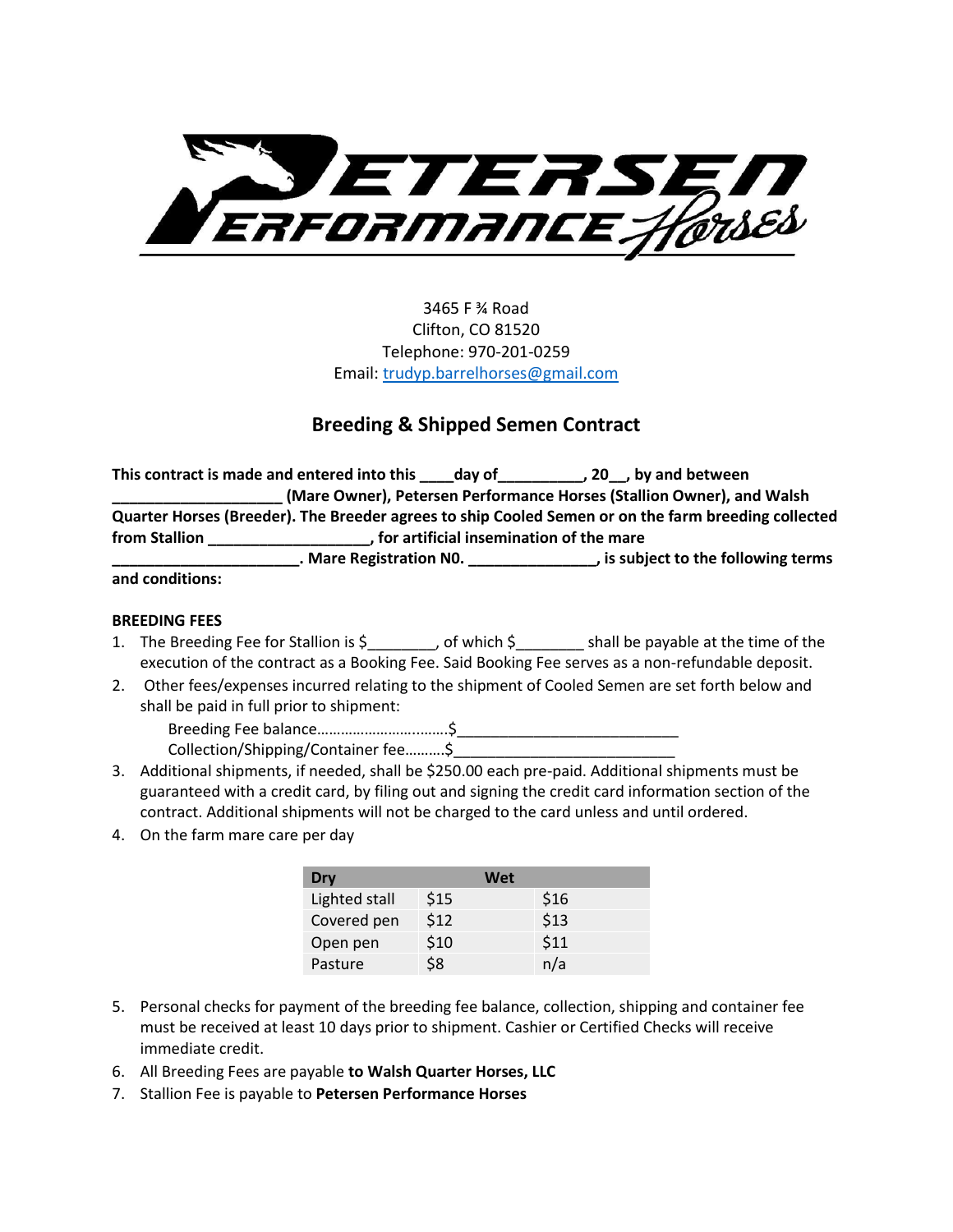

3465 F ¾ Road Clifton, CO 81520 Telephone: 970-201-0259 Email: [trudyp.barrelhorses@gmail.com](mailto:trudyp.barrelhorses@gmail.com)

# **Breeding & Shipped Semen Contract**

**This contract is made and entered into this \_\_\_\_day of\_\_\_\_\_\_\_\_\_\_, 20\_\_, by and between \_\_\_\_\_\_\_\_\_\_\_\_\_\_\_\_\_\_\_\_ (Mare Owner), Petersen Performance Horses (Stallion Owner), and Walsh Quarter Horses (Breeder). The Breeder agrees to ship Cooled Semen or on the farm breeding collected from Stallion \_\_\_\_\_\_\_\_\_\_\_\_\_\_\_\_\_\_\_, for artificial insemination of the mare \_\_\_\_\_\_\_\_\_\_\_\_\_\_\_\_\_\_\_\_\_\_. Mare Registration N0. \_\_\_\_\_\_\_\_\_\_\_\_\_\_\_, is subject to the following terms** 

# **and conditions:**

## **BREEDING FEES**

- 1. The Breeding Fee for Stallion is \$<sub>1</sub>, of which \$ \_\_\_\_\_\_\_\_ shall be payable at the time of the execution of the contract as a Booking Fee. Said Booking Fee serves as a non-refundable deposit.
- 2. Other fees/expenses incurred relating to the shipment of Cooled Semen are set forth below and shall be paid in full prior to shipment:

Breeding Fee balance……………………..…….\$\_\_\_\_\_\_\_\_\_\_\_\_\_\_\_\_\_\_\_\_\_\_\_\_\_\_ Collection/Shipping/Container fee...........\$

- 3. Additional shipments, if needed, shall be \$250.00 each pre-paid. Additional shipments must be guaranteed with a credit card, by filing out and signing the credit card information section of the contract. Additional shipments will not be charged to the card unless and until ordered.
- 4. On the farm mare care per day

| Dry           |      | Wet  |  |
|---------------|------|------|--|
| Lighted stall | \$15 | \$16 |  |
| Covered pen   | \$12 | \$13 |  |
| Open pen      | \$10 | \$11 |  |
| Pasture       | \$8  | n/a  |  |

- 5. Personal checks for payment of the breeding fee balance, collection, shipping and container fee must be received at least 10 days prior to shipment. Cashier or Certified Checks will receive immediate credit.
- 6. All Breeding Fees are payable **to Walsh Quarter Horses, LLC**
- 7. Stallion Fee is payable to **Petersen Performance Horses**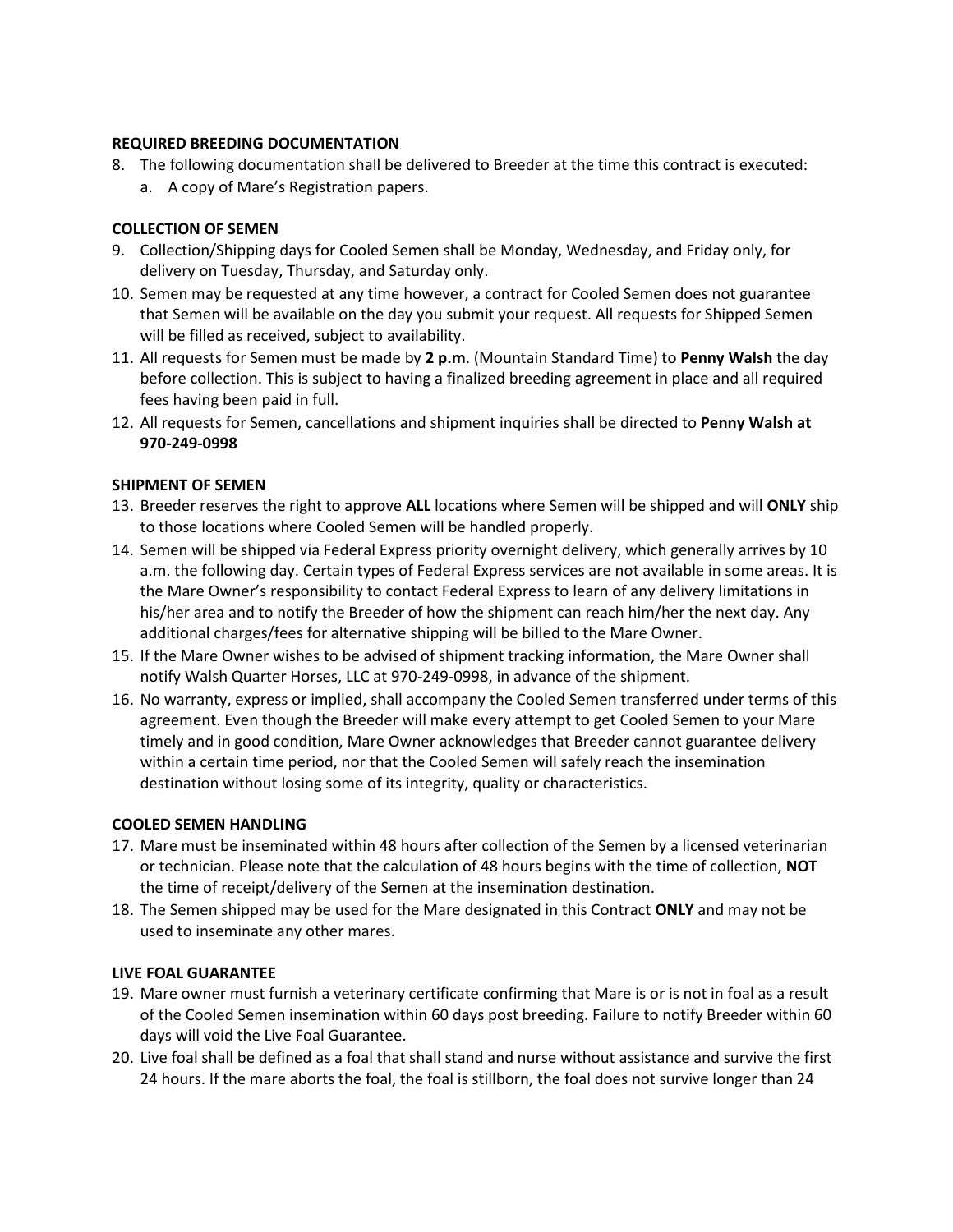## **REQUIRED BREEDING DOCUMENTATION**

- 8. The following documentation shall be delivered to Breeder at the time this contract is executed:
	- a. A copy of Mare's Registration papers.

## **COLLECTION OF SEMEN**

- 9. Collection/Shipping days for Cooled Semen shall be Monday, Wednesday, and Friday only, for delivery on Tuesday, Thursday, and Saturday only.
- 10. Semen may be requested at any time however, a contract for Cooled Semen does not guarantee that Semen will be available on the day you submit your request. All requests for Shipped Semen will be filled as received, subject to availability.
- 11. All requests for Semen must be made by **2 p.m**. (Mountain Standard Time) to **Penny Walsh** the day before collection. This is subject to having a finalized breeding agreement in place and all required fees having been paid in full.
- 12. All requests for Semen, cancellations and shipment inquiries shall be directed to **Penny Walsh at 970-249-0998**

## **SHIPMENT OF SEMEN**

- 13. Breeder reserves the right to approve **ALL** locations where Semen will be shipped and will **ONLY** ship to those locations where Cooled Semen will be handled properly.
- 14. Semen will be shipped via Federal Express priority overnight delivery, which generally arrives by 10 a.m. the following day. Certain types of Federal Express services are not available in some areas. It is the Mare Owner's responsibility to contact Federal Express to learn of any delivery limitations in his/her area and to notify the Breeder of how the shipment can reach him/her the next day. Any additional charges/fees for alternative shipping will be billed to the Mare Owner.
- 15. If the Mare Owner wishes to be advised of shipment tracking information, the Mare Owner shall notify Walsh Quarter Horses, LLC at 970-249-0998, in advance of the shipment.
- 16. No warranty, express or implied, shall accompany the Cooled Semen transferred under terms of this agreement. Even though the Breeder will make every attempt to get Cooled Semen to your Mare timely and in good condition, Mare Owner acknowledges that Breeder cannot guarantee delivery within a certain time period, nor that the Cooled Semen will safely reach the insemination destination without losing some of its integrity, quality or characteristics.

## **COOLED SEMEN HANDLING**

- 17. Mare must be inseminated within 48 hours after collection of the Semen by a licensed veterinarian or technician. Please note that the calculation of 48 hours begins with the time of collection, **NOT**  the time of receipt/delivery of the Semen at the insemination destination.
- 18. The Semen shipped may be used for the Mare designated in this Contract **ONLY** and may not be used to inseminate any other mares.

#### **LIVE FOAL GUARANTEE**

- 19. Mare owner must furnish a veterinary certificate confirming that Mare is or is not in foal as a result of the Cooled Semen insemination within 60 days post breeding. Failure to notify Breeder within 60 days will void the Live Foal Guarantee.
- 20. Live foal shall be defined as a foal that shall stand and nurse without assistance and survive the first 24 hours. If the mare aborts the foal, the foal is stillborn, the foal does not survive longer than 24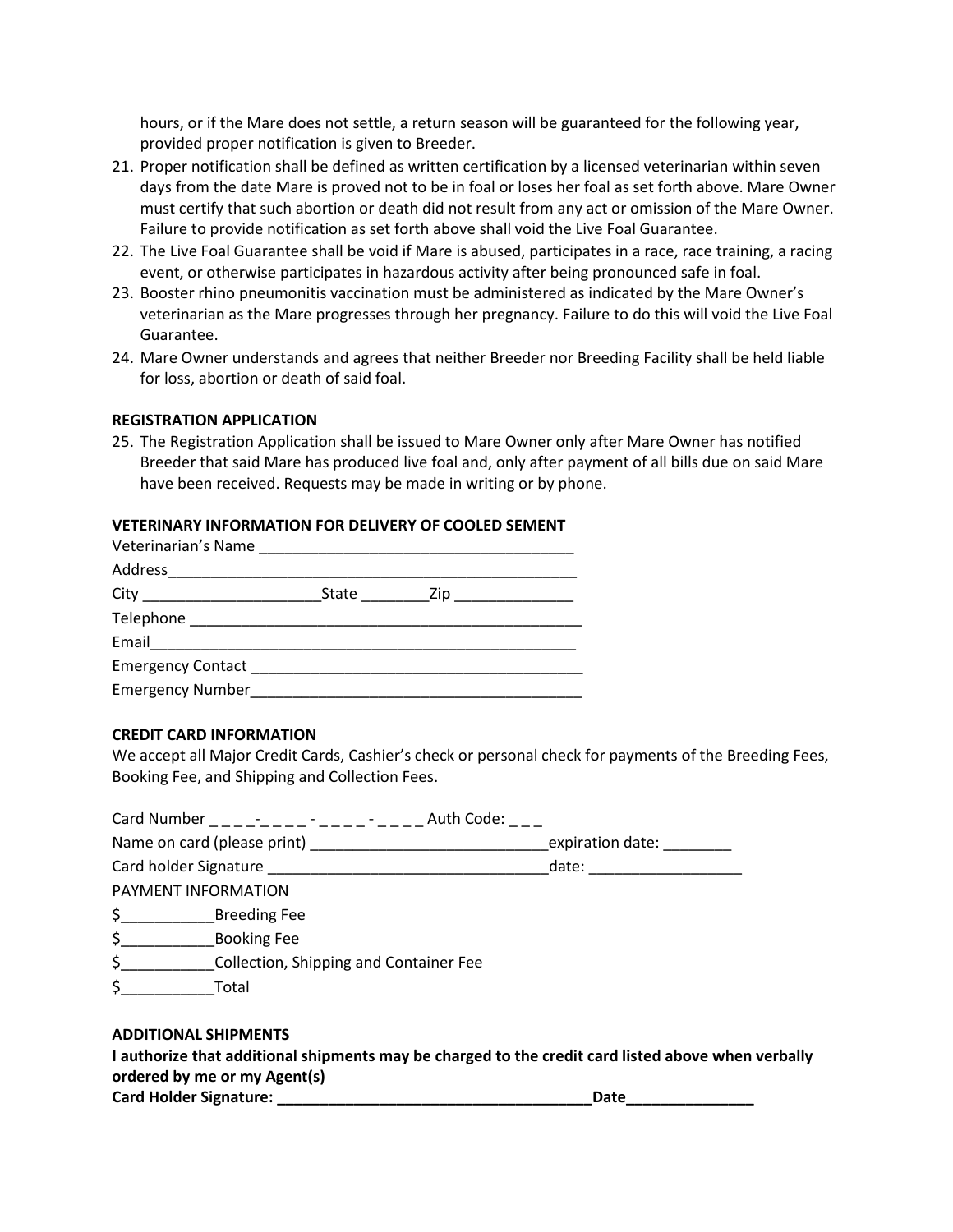hours, or if the Mare does not settle, a return season will be guaranteed for the following year, provided proper notification is given to Breeder.

- 21. Proper notification shall be defined as written certification by a licensed veterinarian within seven days from the date Mare is proved not to be in foal or loses her foal as set forth above. Mare Owner must certify that such abortion or death did not result from any act or omission of the Mare Owner. Failure to provide notification as set forth above shall void the Live Foal Guarantee.
- 22. The Live Foal Guarantee shall be void if Mare is abused, participates in a race, race training, a racing event, or otherwise participates in hazardous activity after being pronounced safe in foal.
- 23. Booster rhino pneumonitis vaccination must be administered as indicated by the Mare Owner's veterinarian as the Mare progresses through her pregnancy. Failure to do this will void the Live Foal Guarantee.
- 24. Mare Owner understands and agrees that neither Breeder nor Breeding Facility shall be held liable for loss, abortion or death of said foal.

## **REGISTRATION APPLICATION**

25. The Registration Application shall be issued to Mare Owner only after Mare Owner has notified Breeder that said Mare has produced live foal and, only after payment of all bills due on said Mare have been received. Requests may be made in writing or by phone.

## **VETERINARY INFORMATION FOR DELIVERY OF COOLED SEMENT**

| Emergency Number <b>Emergency</b> Number |  |  |  |  |  |
|------------------------------------------|--|--|--|--|--|

#### **CREDIT CARD INFORMATION**

We accept all Major Credit Cards, Cashier's check or personal check for payments of the Breeding Fees, Booking Fee, and Shipping and Collection Fees.

|                                                                                                                                   | Card Number - - - - - Auth Code:                       |                             |  |  |
|-----------------------------------------------------------------------------------------------------------------------------------|--------------------------------------------------------|-----------------------------|--|--|
|                                                                                                                                   |                                                        |                             |  |  |
|                                                                                                                                   |                                                        | date: _____________________ |  |  |
| PAYMENT INFORMATION                                                                                                               |                                                        |                             |  |  |
|                                                                                                                                   |                                                        |                             |  |  |
|                                                                                                                                   |                                                        |                             |  |  |
|                                                                                                                                   | \$______________Collection, Shipping and Container Fee |                             |  |  |
| $\zeta$                                                                                                                           | Total                                                  |                             |  |  |
| <b>ADDITIONAL SHIPMENTS</b><br>I authorize that additional shipments may be charged to the credit card listed above when verbally |                                                        |                             |  |  |

**ordered by me or my Agent(s)** 

**Card Holder Signature: \_\_\_\_\_\_\_\_\_\_\_\_\_\_\_\_\_\_\_\_\_\_\_\_\_\_\_\_\_\_\_\_\_\_\_\_\_Date\_\_\_\_\_\_\_\_\_\_\_\_\_\_\_**